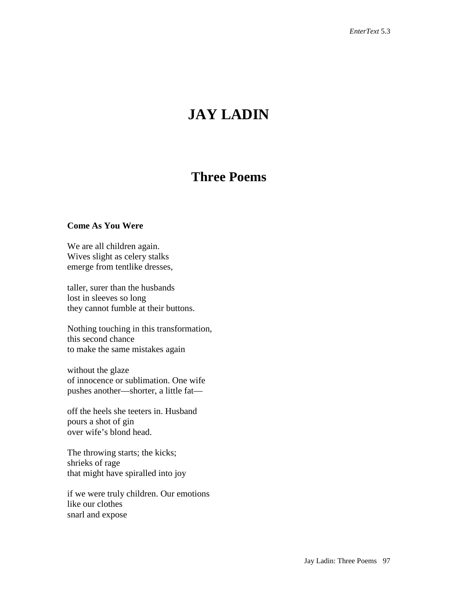# **JAY LADIN**

# **Three Poems**

#### **Come As You Were**

We are all children again. Wives slight as celery stalks emerge from tentlike dresses,

taller, surer than the husbands lost in sleeves so long they cannot fumble at their buttons.

Nothing touching in this transformation, this second chance to make the same mistakes again

without the glaze of innocence or sublimation. One wife pushes another—shorter, a little fat—

off the heels she teeters in. Husband pours a shot of gin over wife's blond head.

The throwing starts; the kicks; shrieks of rage that might have spiralled into joy

if we were truly children. Our emotions like our clothes snarl and expose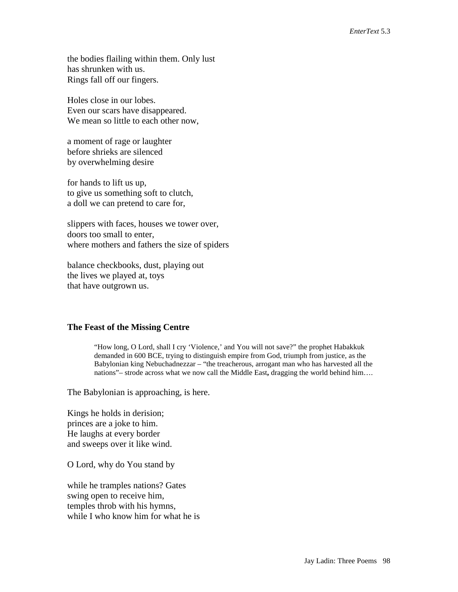the bodies flailing within them. Only lust has shrunken with us. Rings fall off our fingers.

Holes close in our lobes. Even our scars have disappeared. We mean so little to each other now,

a moment of rage or laughter before shrieks are silenced by overwhelming desire

for hands to lift us up, to give us something soft to clutch, a doll we can pretend to care for,

slippers with faces, houses we tower over, doors too small to enter, where mothers and fathers the size of spiders

balance checkbooks, dust, playing out the lives we played at, toys that have outgrown us.

## **The Feast of the Missing Centre**

"How long, O Lord, shall I cry 'Violence,' and You will not save?" the prophet Habakkuk demanded in 600 BCE, trying to distinguish empire from God, triumph from justice, as the Babylonian king Nebuchadnezzar – "the treacherous, arrogant man who has harvested all the nations"– strode across what we now call the Middle East**,** dragging the world behind him….

The Babylonian is approaching, is here.

Kings he holds in derision; princes are a joke to him. He laughs at every border and sweeps over it like wind.

O Lord, why do You stand by

while he tramples nations? Gates swing open to receive him, temples throb with his hymns, while I who know him for what he is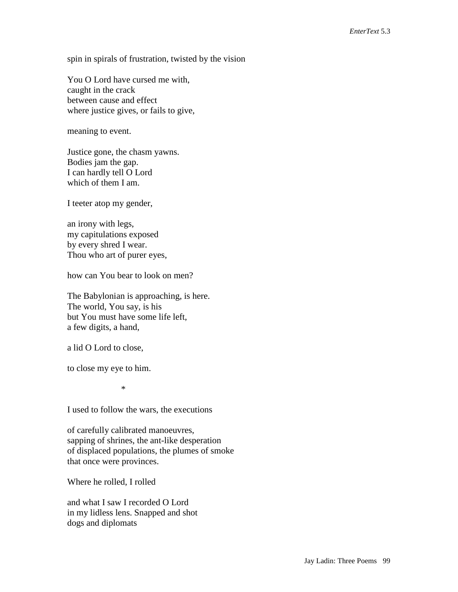spin in spirals of frustration, twisted by the vision

You O Lord have cursed me with, caught in the crack between cause and effect where justice gives, or fails to give,

meaning to event.

Justice gone, the chasm yawns. Bodies jam the gap. I can hardly tell O Lord which of them I am.

I teeter atop my gender,

an irony with legs, my capitulations exposed by every shred I wear. Thou who art of purer eyes,

how can You bear to look on men?

The Babylonian is approaching, is here. The world, You say, is his but You must have some life left, a few digits, a hand,

a lid O Lord to close,

to close my eye to him.

\*

I used to follow the wars, the executions

of carefully calibrated manoeuvres, sapping of shrines, the ant-like desperation of displaced populations, the plumes of smoke that once were provinces.

Where he rolled, I rolled

and what I saw I recorded O Lord in my lidless lens. Snapped and shot dogs and diplomats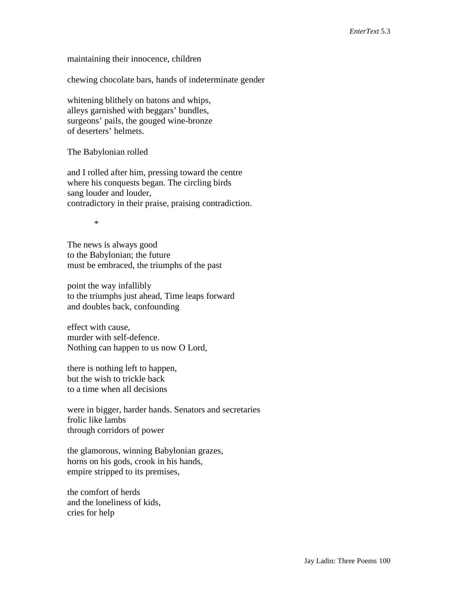maintaining their innocence, children

chewing chocolate bars, hands of indeterminate gender

whitening blithely on batons and whips, alleys garnished with beggars' bundles, surgeons' pails, the gouged wine-bronze of deserters' helmets.

The Babylonian rolled

and I rolled after him, pressing toward the centre where his conquests began. The circling birds sang louder and louder, contradictory in their praise, praising contradiction.

\*

The news is always good to the Babylonian; the future must be embraced, the triumphs of the past

point the way infallibly to the triumphs just ahead, Time leaps forward and doubles back, confounding

effect with cause, murder with self-defence. Nothing can happen to us now O Lord,

there is nothing left to happen, but the wish to trickle back to a time when all decisions

were in bigger, harder hands. Senators and secretaries frolic like lambs through corridors of power

the glamorous, winning Babylonian grazes, horns on his gods, crook in his hands, empire stripped to its premises,

the comfort of herds and the loneliness of kids, cries for help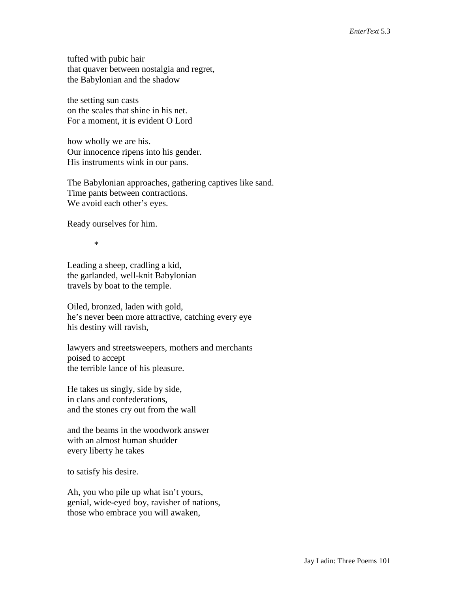tufted with pubic hair that quaver between nostalgia and regret, the Babylonian and the shadow

the setting sun casts on the scales that shine in his net. For a moment, it is evident O Lord

how wholly we are his. Our innocence ripens into his gender. His instruments wink in our pans.

The Babylonian approaches, gathering captives like sand. Time pants between contractions. We avoid each other's eyes.

Ready ourselves for him.

\*

Leading a sheep, cradling a kid, the garlanded, well-knit Babylonian travels by boat to the temple.

Oiled, bronzed, laden with gold, he's never been more attractive, catching every eye his destiny will ravish,

lawyers and streetsweepers, mothers and merchants poised to accept the terrible lance of his pleasure.

He takes us singly, side by side, in clans and confederations, and the stones cry out from the wall

and the beams in the woodwork answer with an almost human shudder every liberty he takes

to satisfy his desire.

Ah, you who pile up what isn't yours, genial, wide-eyed boy, ravisher of nations, those who embrace you will awaken,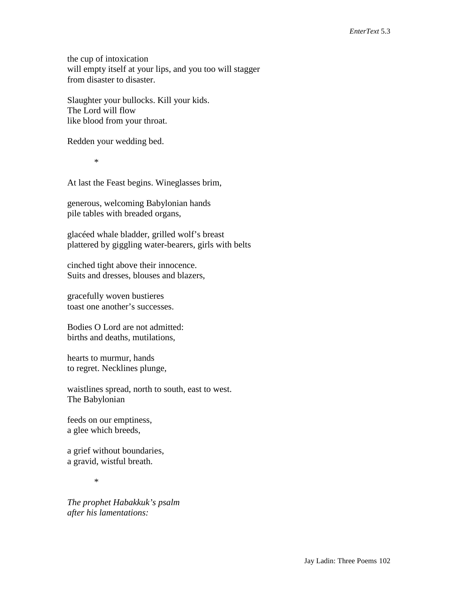the cup of intoxication will empty itself at your lips, and you too will stagger from disaster to disaster.

Slaughter your bullocks. Kill your kids. The Lord will flow like blood from your throat.

Redden your wedding bed.

\*

At last the Feast begins. Wineglasses brim,

generous, welcoming Babylonian hands pile tables with breaded organs,

glacéed whale bladder, grilled wolf's breast plattered by giggling water-bearers, girls with belts

cinched tight above their innocence. Suits and dresses, blouses and blazers,

gracefully woven bustieres toast one another's successes.

Bodies O Lord are not admitted: births and deaths, mutilations,

hearts to murmur, hands to regret. Necklines plunge,

waistlines spread, north to south, east to west. The Babylonian

feeds on our emptiness, a glee which breeds,

a grief without boundaries, a gravid, wistful breath.

\*

*The prophet Habakkuk's psalm after his lamentations:*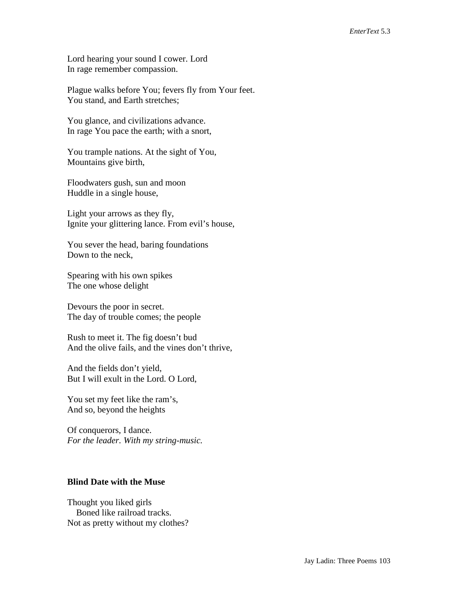Lord hearing your sound I cower. Lord In rage remember compassion.

Plague walks before You; fevers fly from Your feet. You stand, and Earth stretches;

You glance, and civilizations advance. In rage You pace the earth; with a snort,

You trample nations. At the sight of You, Mountains give birth,

Floodwaters gush, sun and moon Huddle in a single house,

Light your arrows as they fly, Ignite your glittering lance. From evil's house,

You sever the head, baring foundations Down to the neck,

Spearing with his own spikes The one whose delight

Devours the poor in secret. The day of trouble comes; the people

Rush to meet it. The fig doesn't bud And the olive fails, and the vines don't thrive,

And the fields don't yield, But I will exult in the Lord. O Lord,

You set my feet like the ram's, And so, beyond the heights

Of conquerors, I dance. *For the leader. With my string-music.*

## **Blind Date with the Muse**

Thought you liked girls Boned like railroad tracks. Not as pretty without my clothes?